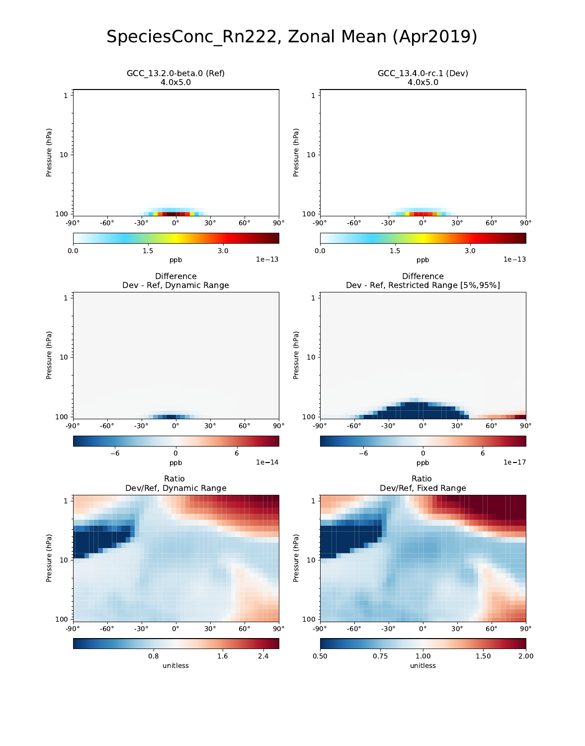# SpeciesConc\_Rn222, Zonal Mean (Apr2019)

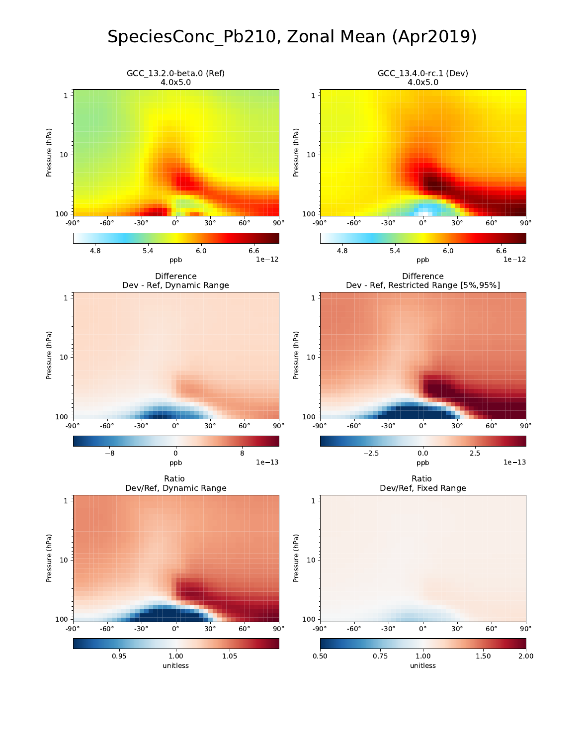# SpeciesConc\_Pb210, Zonal Mean (Apr2019)

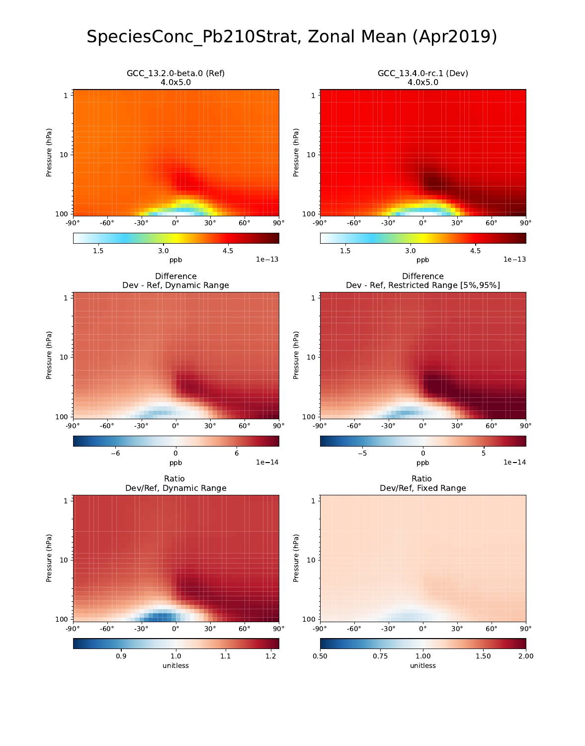# SpeciesConc\_Pb210Strat, Zonal Mean (Apr2019)

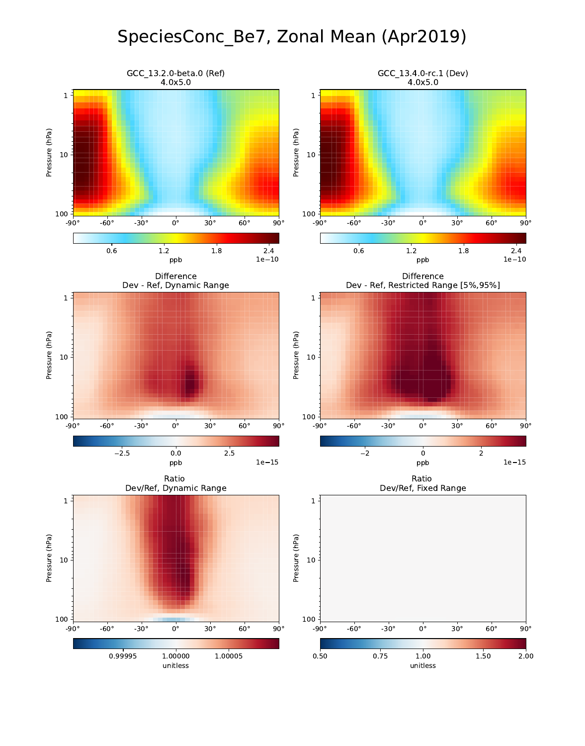# SpeciesConc\_Be7, Zonal Mean (Apr2019)

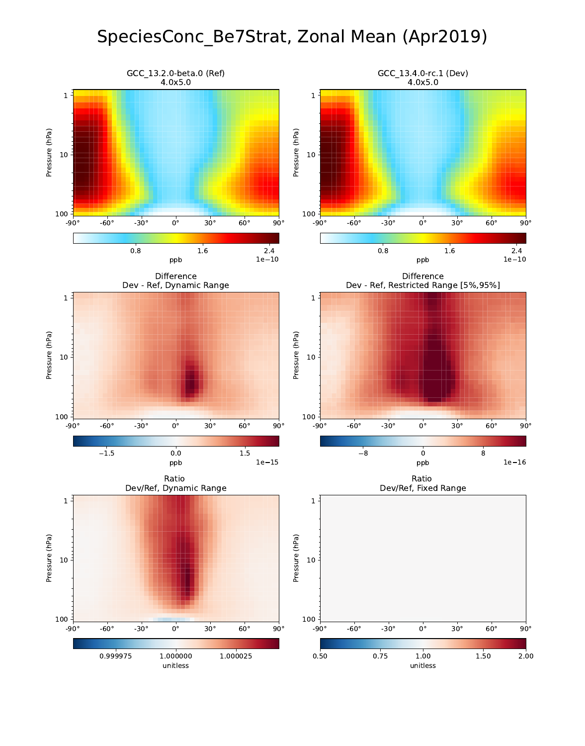# SpeciesConc\_Be7Strat, Zonal Mean (Apr2019)

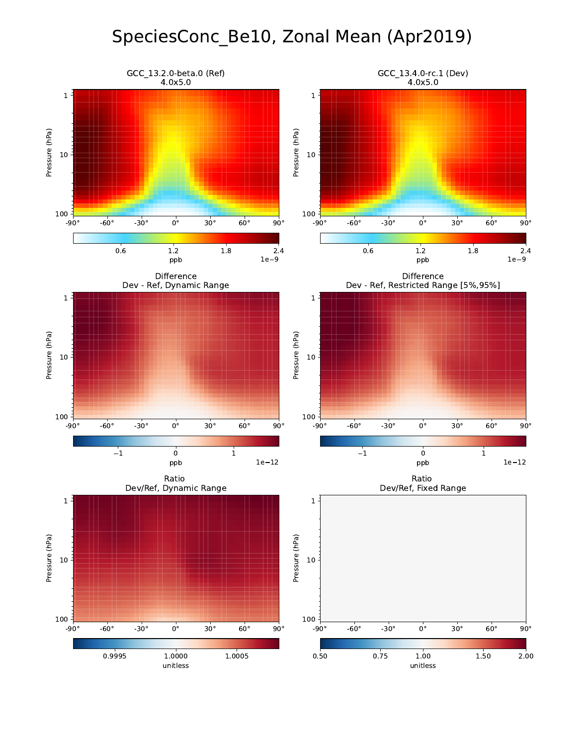# SpeciesConc\_Be10, Zonal Mean (Apr2019)